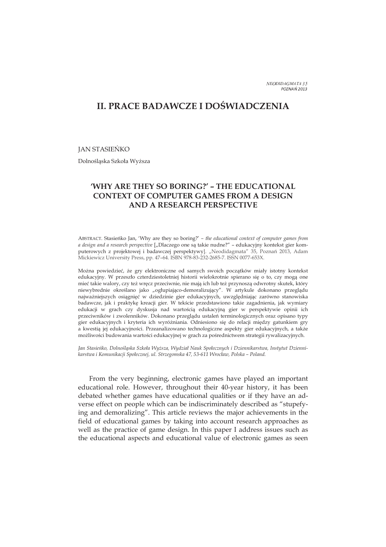NEODIDAGMATA 35 <sup>P</sup> <sup>O</sup> <sup>Z</sup> <sup>N</sup> <sup>A</sup> *F*<sup>2</sup> <sup>0</sup> <sup>1</sup> <sup>3</sup>

# **II. PRACE BADAWCZE I DOģWIADCZENIA**

# **JAN STASIEŃKO**

Dolnośląska Szkoła Wyższa

# **'WHY ARE THEY SO BORING?' – THE EDUCATIONAL CONTEXT OF COMPUTER GAMES FROM A DESIGN AND A RESEARCH PERSPECTIVE**

ABSTRACT. Stasienko Jan, 'Why are they so boring?' - the educational context of computer games from *a design and a research perspective* ["Dlaczego one są takie nudne?" - edukacyjny kontekst gier komputerowych z projektowej i badawczej perspektywy]. "Neodidagmata" 35, Poznań 2013, Adam Mickiewicz University Press, pp. 47–64. ISBN 978-83-232-2685-7. ISSN 0077-653X.

Można powiedzieć, że gry elektroniczne od samych swoich początków miały istotny kontekst edukacyjny. W przeszło czterdziestoletniej historii wielokrotnie spierano się o to, czy mogą one mieć takie walory, czy też wręcz przeciwnie, nie mają ich lub też przynoszą odwrotny skutek, który niewybrednie określano jako "ogłupiająco-demoralizujący". W artykule dokonano przeglądu najważniejszych osiągnięć w dziedzinie gier edukacyjnych, uwzględniając zarówno stanowiska badawcze, jak i praktykę kreacji gier. W tekście przedstawiono takie zagadnienia, jak wymiary edukacji w grach czy dyskusja nad wartością edukacyjną gier w perspektywie opinii ich przeciwników i zwolenników. Dokonano przeglądu ustaleń terminologicznych oraz opisano typy gier edukacyjnych i kryteria ich wyróżniania. Odniesiono się do relacji między gatunkiem gry a kwestią jej edukacyjności. Przeanalizowano technologiczne aspekty gier edukacyjnych, a także możliwości budowania wartości edukacyjnej w grach za pośrednictwem strategii rywalizacyjnych.

*Jan Stasieęko, DolnoĤlĈska Szkoãa Wyİsza, Wydziaã Nauk Spoãecznych i Dziennikarstwa, Instytut Dziennikarstwa i Komunikacji Spoãecznej, ul. Strzegomska 47, 53-611 Wrocãaw, Polska – Poland.* 

From the very beginning, electronic games have played an important educational role. However, throughout their 40-year history, it has been debated whether games have educational qualities or if they have an adverse effect on people which can be indiscriminately described as "stupefying and demoralizing". This article reviews the major achievements in the field of educational games by taking into account research approaches as well as the practice of game design. In this paper I address issues such as the educational aspects and educational value of electronic games as seen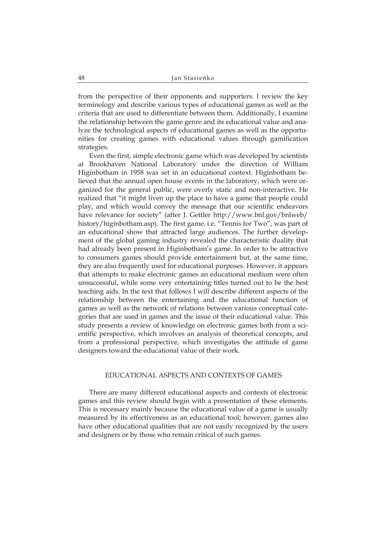from the perspective of their opponents and supporters. I review the key terminology and describe various types of educational games as well as the criteria that are used to differentiate between them. Additionally, I examine the relationship between the game genre and its educational value and analyze the technological aspects of educational games as well as the opportunities for creating games with educational values through gamification strategies.

Even the first, simple electronic game which was developed by scientists at Brookhaven National Laboratory under the direction of William Higinbotham in 1958 was set in an educational context. Higinbotham believed that the annual open house events in the laboratory, which were organized for the general public, were overly static and non-interactive. He realized that "it might liven up the place to have a game that people could play, and which would convey the message that our scientific endeavors have relevance for society" (after J. Gettler http://www.bnl.gov/bnlweb/ history/higinbotham.asp). The first game, i.e. "Tennis for Two", was part of an educational show that attracted large audiences. The further development of the global gaming industry revealed the characteristic duality that had already been present in Higinbotham's game. In order to be attractive to consumers games should provide entertainment but, at the same time, they are also frequently used for educational purposes. However, it appears that attempts to make electronic games an educational medium were often unsuccessful, while some very entertaining titles turned out to be the best teaching aids. In the text that follows I will describe different aspects of the relationship between the entertaining and the educational function of games as well as the network of relations between various conceptual categories that are used in games and the issue of their educational value. This study presents a review of knowledge on electronic games both from a scientific perspective, which involves an analysis of theoretical concepts, and from a professional perspective, which investigates the attitude of game designers toward the educational value of their work.

#### 1. 1 EDUCATIONAL ASPECTS AND CONTEXTS OF GAMES

There are many different educational aspects and contexts of electronic games and this review should begin with a presentation of these elements. This is necessary mainly because the educational value of a game is usually measured by its effectiveness as an educational tool; however, games also have other educational qualities that are not easily recognized by the users and designers or by those who remain critical of such games.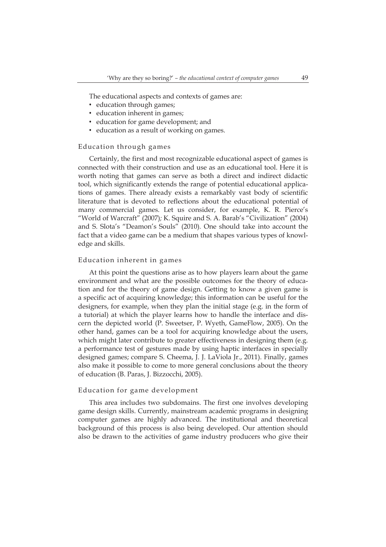The educational aspects and contexts of games are:

- education through games;
- education inherent in games;
- education for game development; and
- education as a result of working on games.

#### Education through games

Certainly, the first and most recognizable educational aspect of games is connected with their construction and use as an educational tool. Here it is worth noting that games can serve as both a direct and indirect didactic tool, which significantly extends the range of potential educational applications of games. There already exists a remarkably vast body of scientific literature that is devoted to reflections about the educational potential of many commercial games. Let us consider, for example, K. R. Pierce's "World of Warcraft" (2007)*;* K. Squire and S. A. Barab's "Civilization" (2004) and S. Slota's "Deamon's Souls" (2010)*.* One should take into account the fact that a video game can be a medium that shapes various types of knowledge and skills.

#### Education inherent in games

At this point the questions arise as to how players learn about the game environment and what are the possible outcomes for the theory of education and for the theory of game design. Getting to know a given game is a specific act of acquiring knowledge; this information can be useful for the designers, for example, when they plan the initial stage (e.g. in the form of a tutorial) at which the player learns how to handle the interface and discern the depicted world (P. Sweetser, P. Wyeth, GameFlow, 2005). On the other hand, games can be a tool for acquiring knowledge about the users, which might later contribute to greater effectiveness in designing them (e.g. a performance test of gestures made by using haptic interfaces in specially designed games; compare S. Cheema, J. J. LaViola Jr., 2011). Finally, games also make it possible to come to more general conclusions about the theory of education (B. Paras, J. Bizzocchi, 2005).

# Education for game development

This area includes two subdomains. The first one involves developing game design skills. Currently, mainstream academic programs in designing computer games are highly advanced. The institutional and theoretical background of this process is also being developed. Our attention should also be drawn to the activities of game industry producers who give their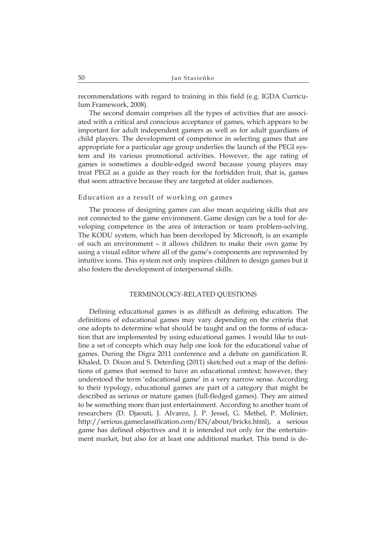recommendations with regard to training in this field (e.g. IGDA Curriculum Framework, 2008).

The second domain comprises all the types of activities that are associated with a critical and conscious acceptance of games, which appears to be important for adult independent gamers as well as for adult guardians of child players. The development of competence in selecting games that are appropriate for a particular age group underlies the launch of the PEGI system and its various promotional activities. However, the age rating of games is sometimes a double-edged sword because young players may treat PEGI as a guide as they reach for the forbidden fruit, that is, games that seem attractive because they are targeted at older audiences.

# Education as a result of working on games

The process of designing games can also mean acquiring skills that are not connected to the game environment. Game design can be a tool for developing competence in the area of interaction or team problem-solving. The KODU system, which has been developed by Microsoft, is an example of such an environment – it allows children to make their own game by using a visual editor where all of the game's components are represented by intuitive icons. This system not only inspires children to design games but it also fosters the development of interpersonal skills.

# TERMINOLOGY-RELATED QUESTIONS

Defining educational games is as difficult as defining education. The definitions of educational games may vary depending on the criteria that one adopts to determine what should be taught and on the forms of education that are implemented by using educational games. I would like to outline a set of concepts which may help one look for the educational value of games. During the Digra 2011 conference and a debate on gamification R. Khaled, D. Dixon and S. Deterding (2011) sketched out a map of the definitions of games that seemed to have an educational context; however, they understood the term 'educational game' in a very narrow sense. According to their typology, educational games are part of a category that might be described as serious or mature games (full-fledged games). They are aimed to be something more than just entertainment. According to another team of researchers (D. Djaouti, J. Alvarez, J. P. Jessel, G. Methel, P. Molinier, http://serious.gameclassification.com/EN/about/bricks.html), a serious game has defined objectives and it is intended not only for the entertainment market, but also for at least one additional market. This trend is de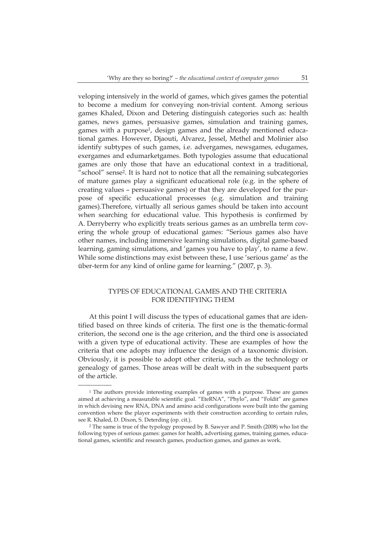veloping intensively in the world of games, which gives games the potential to become a medium for conveying non-trivial content. Among serious games Khaled, Dixon and Detering distinguish categories such as: health games, news games, persuasive games, simulation and training games, games with a purpose<sup>1</sup>, design games and the already mentioned educational games. However, Djaouti, Alvarez, Jessel, Methel and Molinier also identify subtypes of such games, i.e. advergames, newsgames, edugames, exergames and edumarketgames. Both typologies assume that educational games are only those that have an educational context in a traditional, "school" sense<sup>2</sup>. It is hard not to notice that all the remaining subcategories of mature games play a significant educational role (e.g. in the sphere of creating values – persuasive games) or that they are developed for the purpose of specific educational processes (e.g. simulation and training games).Therefore, virtually all serious games should be taken into account when searching for educational value. This hypothesis is confirmed by A. Derryberry who explicitly treats serious games as an umbrella term covering the whole group of educational games: "Serious games also have other names, including immersive learning simulations, digital game-based learning, gaming simulations, and 'games you have to play', to name a few. While some distinctions may exist between these, I use 'serious game' as the über-term for any kind of online game for learning." (2007, p. 3).

# 3. TYPES OF EDUCATIONAL GAMES AND THE CRITERIA FOR IDENTIFYING THEM

At this point I will discuss the types of educational games that are identified based on three kinds of criteria. The first one is the thematic-formal criterion, the second one is the age criterion, and the third one is associated with a given type of educational activity. These are examples of how the criteria that one adopts may influence the design of a taxonomic division. Obviously, it is possible to adopt other criteria, such as the technology or genealogy of games. Those areas will be dealt with in the subsequent parts of the article.

\_ \_ \_ \_ \_ \_ \_ \_ \_ \_ \_ \_ \_ \_ \_ \_

<sup>1</sup> The authors provide interesting examples of games with a purpose. These are games aimed at achieving a measurable scientific goal. "EteRNA", "Phylo", and "Foldit" are games in which devising new RNA, DNA and amino acid configurations were built into the gaming convention where the player experiments with their construction according to certain rules, see R. Khaled, D. Dixon, S. Deterding (op. cit.).

<sup>2</sup> The same is true of the typology proposed by B. Sawyer and P. Smith (2008) who list the following types of serious games: games for health, advertising games, training games, educational games, scientific and research games, production games, and games as work.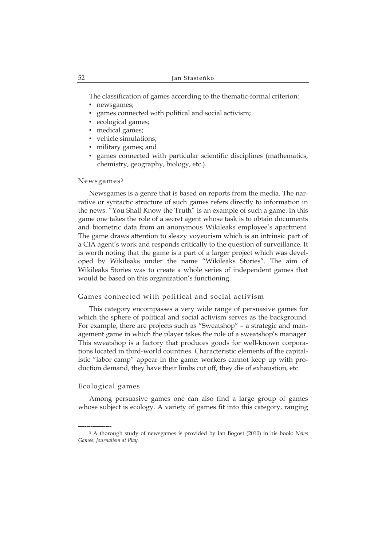The classification of games according to the thematic-formal criterion:

- newsgames;
- games connected with political and social activism;
- ecological games;
- medical games;
- vehicle simulations;
- military games; and
- games connected with particular scientific disciplines (mathematics, chemistry, geography, biology, etc.).

# Newsgames<sup>3</sup>

Newsgames is a genre that is based on reports from the media. The narrative or syntactic structure of such games refers directly to information in the news. "You Shall Know the Truth" is an example of such a game. In this game one takes the role of a secret agent whose task is to obtain documents and biometric data from an anonymous Wikileaks employee's apartment. The game draws attention to sleazy voyeurism which is an intrinsic part of a CIA agent's work and responds critically to the question of surveillance. It is worth noting that the game is a part of a larger project which was developed by Wikileaks under the name "Wikileaks Stories". The aim of Wikileaks Stories was to create a whole series of independent games that would be based on this organization's functioning.

#### Games connected with political and social activism

This category encompasses a very wide range of persuasive games for which the sphere of political and social activism serves as the background. For example, there are projects such as "Sweatshop" – a strategic and management game in which the player takes the role of a sweatshop's manager. This sweatshop is a factory that produces goods for well-known corporations located in third-world countries. Characteristic elements of the capitalistic "labor camp" appear in the game: workers cannot keep up with production demand, they have their limbs cut off, they die of exhaustion, etc.

# Ecological games

\_ \_ \_ \_ \_ \_ \_ \_ \_ \_ \_ \_ \_ \_ \_ \_

Among persuasive games one can also find a large group of games whose subject is ecology. A variety of games fit into this category, ranging

<sup>3</sup> A thorough study of newsgames is provided by Ian Bogost (2010) in his book: *News Games: Journalism at Play*.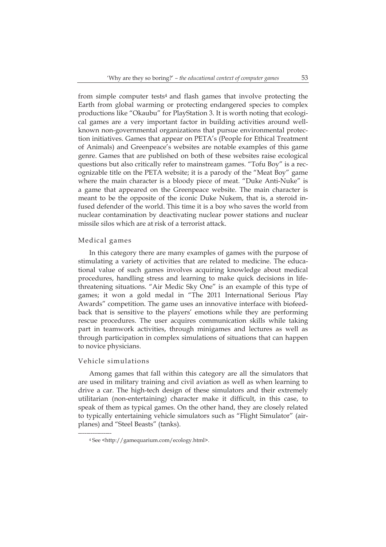from simple computer tests<sup>4</sup> and flash games that involve protecting the Earth from global warming or protecting endangered species to complex productions like "Okaubu" for PlayStation 3. It is worth noting that ecological games are a very important factor in building activities around wellknown non-governmental organizations that pursue environmental protection initiatives. Games that appear on PETA's (People for Ethical Treatment of Animals) and Greenpeace's websites are notable examples of this game genre. Games that are published on both of these websites raise ecological questions but also critically refer to mainstream games. "Tofu Boy" is a recognizable title on the PETA website; it is a parody of the "Meat Boy" game where the main character is a bloody piece of meat. "Duke Anti-Nuke" is a game that appeared on the Greenpeace website. The main character is meant to be the opposite of the iconic Duke Nukem, that is, a steroid infused defender of the world. This time it is a boy who saves the world from nuclear contamination by deactivating nuclear power stations and nuclear missile silos which are at risk of a terrorist attack.

## Medical games

In this category there are many examples of games with the purpose of stimulating a variety of activities that are related to medicine. The educational value of such games involves acquiring knowledge about medical procedures, handling stress and learning to make quick decisions in lifethreatening situations. "Air Medic Sky One" is an example of this type of games; it won a gold medal in "The 2011 International Serious Play Awards" competition. The game uses an innovative interface with biofeedback that is sensitive to the players' emotions while they are performing rescue procedures. The user acquires communication skills while taking part in teamwork activities, through minigames and lectures as well as through participation in complex simulations of situations that can happen to novice physicians.

# Vehicle simulations

\_ \_ \_ \_ \_ \_ \_ \_ \_ \_ \_ \_ \_ \_ \_ \_

Among games that fall within this category are all the simulators that are used in military training and civil aviation as well as when learning to drive a car. The high-tech design of these simulators and their extremely utilitarian (non-entertaining) character make it difficult, in this case, to speak of them as typical games. On the other hand, they are closely related to typically entertaining vehicle simulators such as "Flight Simulator" (airplanes) and "Steel Beasts" (tanks).

<sup>4</sup> See <http://gamequarium.com/ecology.html>.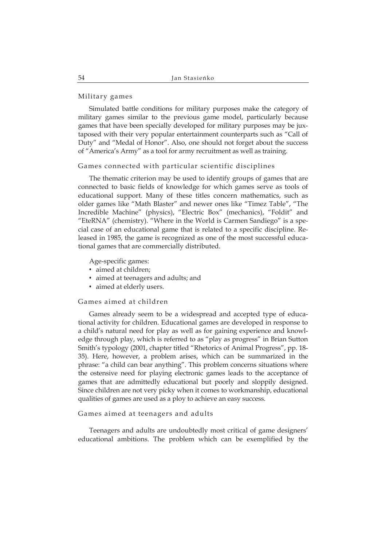# Military games

Simulated battle conditions for military purposes make the category of military games similar to the previous game model, particularly because games that have been specially developed for military purposes may be juxtaposed with their very popular entertainment counterparts such as "Call of Duty" and "Medal of Honor". Also, one should not forget about the success of "America's Army" as a tool for army recruitment as well as training.

# Games connected with particular scientific disciplines

The thematic criterion may be used to identify groups of games that are connected to basic fields of knowledge for which games serve as tools of educational support. Many of these titles concern mathematics, such as older games like "Math Blaster" and newer ones like "Timez Table", "The Incredible Machine" (physics), "Electric Box" (mechanics), "Foldit" and "EteRNA" (chemistry). "Where in the World is Carmen Sandiego" is a special case of an educational game that is related to a specific discipline. Released in 1985, the game is recognized as one of the most successful educational games that are commercially distributed.

Age-specific games:

- aimed at children;
- aimed at teenagers and adults; and
- aimed at elderly users.

# Games aimed at children

Games already seem to be a widespread and accepted type of educational activity for children. Educational games are developed in response to a child's natural need for play as well as for gaining experience and knowledge through play, which is referred to as "play as progress" in Brian Sutton Smith's typology (2001, chapter titled "Rhetorics of Animal Progress", pp. 18- 35). Here, however, a problem arises, which can be summarized in the phrase: "a child can bear anything". This problem concerns situations where the ostensive need for playing electronic games leads to the acceptance of games that are admittedly educational but poorly and sloppily designed. Since children are not very picky when it comes to workmanship, educational qualities of games are used as a ploy to achieve an easy success.

#### Games aimed at teenagers and adults

Teenagers and adults are undoubtedly most critical of game designers' educational ambitions. The problem which can be exemplified by the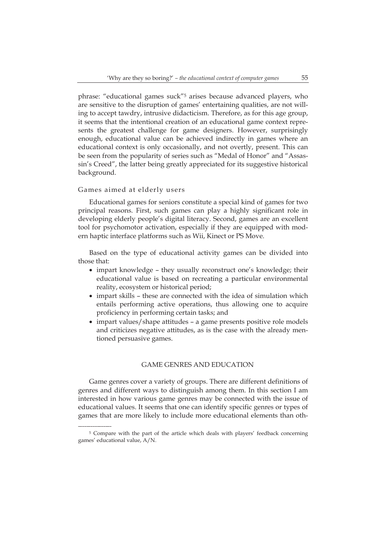phrase: "educational games suck"<sup>5</sup> arises because advanced players, who are sensitive to the disruption of games' entertaining qualities, are not willing to accept tawdry, intrusive didacticism. Therefore, as for this age group, it seems that the intentional creation of an educational game context represents the greatest challenge for game designers. However, surprisingly enough, educational value can be achieved indirectly in games where an educational context is only occasionally, and not overtly, present. This can be seen from the popularity of series such as "Medal of Honor" and "Assassin's Creed", the latter being greatly appreciated for its suggestive historical background.

# Games aimed at elderly users

\_ \_ \_ \_ \_ \_ \_ \_ \_ \_ \_ \_ \_ \_ \_ \_

Educational games for seniors constitute a special kind of games for two principal reasons. First, such games can play a highly significant role in developing elderly people's digital literacy. Second, games are an excellent tool for psychomotor activation, especially if they are equipped with modern haptic interface platforms such as Wii, Kinect or PS Move.

Based on the type of educational activity games can be divided into those that:

- impart knowledge they usually reconstruct one's knowledge; their educational value is based on recreating a particular environmental reality, ecosystem or historical period;
- impart skills these are connected with the idea of simulation which entails performing active operations, thus allowing one to acquire proficiency in performing certain tasks; and
- impart values/shape attitudes a game presents positive role models and criticizes negative attitudes, as is the case with the already mentioned persuasive games.

#### . GAME GENRES AND EDUCATION

Game genres cover a variety of groups. There are different definitions of genres and different ways to distinguish among them. In this section I am interested in how various game genres may be connected with the issue of educational values. It seems that one can identify specific genres or types of games that are more likely to include more educational elements than oth-

<sup>5</sup> Compare with the part of the article which deals with players' feedback concerning games' educational value, A/N.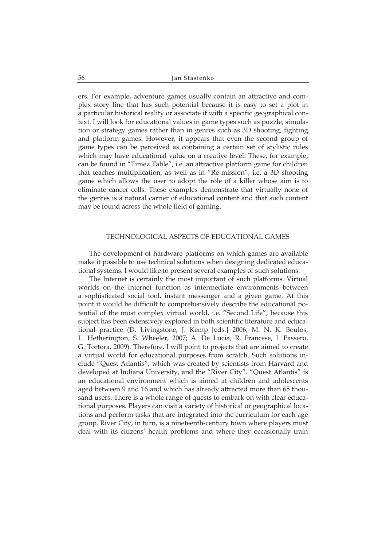ers. For example, adventure games usually contain an attractive and complex story line that has such potential because it is easy to set a plot in a particular historical reality or associate it with a specific geographical context. I will look for educational values in game types such as puzzle, simulation or strategy games rather than in genres such as 3D shooting, fighting and platform games. However, it appears that even the second group of game types can be perceived as containing a certain set of stylistic rules which may have educational value on a creative level. These, for example, can be found in "Timez Table", i.e. an attractive platform game for children that teaches multiplication, as well as in "Re-mission", i.e. a 3D shooting game which allows the user to adopt the role of a killer whose aim is to eliminate cancer cells. These examples demonstrate that virtually none of the genres is a natural carrier of educational content and that such content may be found across the whole field of gaming.

#### . TECHNOLOGICAL ASPECTS OF EDUCATIONAL GAMES

The development of hardware platforms on which games are available make it possible to use technical solutions when designing dedicated educational systems. I would like to present several examples of such solutions.

The Internet is certainly the most important of such platforms. Virtual worlds on the Internet function as intermediate environments between a sophisticated social tool, instant messenger and a given game. At this point it would be difficult to comprehensively describe the educational potential of the most complex virtual world, i.e. "Second Life", because this subject has been extensively explored in both scientific literature and educational practice (D. Livingstone, J. Kemp [eds.] 2006; M. N. K. Boulos, L. Hetherington, S. Wheeler, 2007; A. De Lucia, R. Francese, I. Passero, G. Tortora, 2009). Therefore, I will point to projects that are aimed to create a virtual world for educational purposes from scratch. Such solutions include "Quest Atlantis", which was created by scientists from Harvard and developed at Indiana University, and the "River City". "Quest Atlantis" is an educational environment which is aimed at children and adolescents aged between 9 and 16 and which has already attracted more than 65 thousand users. There is a whole range of quests to embark on with clear educational purposes. Players can visit a variety of historical or geographical locations and perform tasks that are integrated into the curriculum for each age group. River City, in turn, is a nineteenth-century town where players must deal with its citizens' health problems and where they occasionally train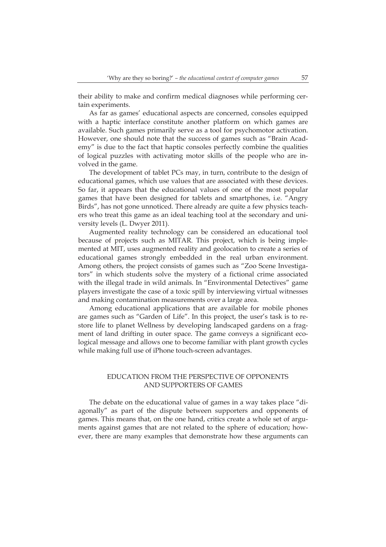their ability to make and confirm medical diagnoses while performing certain experiments.

As far as games' educational aspects are concerned, consoles equipped with a haptic interface constitute another platform on which games are available. Such games primarily serve as a tool for psychomotor activation. However, one should note that the success of games such as "Brain Academy" is due to the fact that haptic consoles perfectly combine the qualities of logical puzzles with activating motor skills of the people who are involved in the game.

The development of tablet PCs may, in turn, contribute to the design of educational games, which use values that are associated with these devices. So far, it appears that the educational values of one of the most popular games that have been designed for tablets and smartphones, i.e. "Angry Birds", has not gone unnoticed. There already are quite a few physics teachers who treat this game as an ideal teaching tool at the secondary and university levels (L. Dwyer 2011).

Augmented reality technology can be considered an educational tool because of projects such as MITAR. This project, which is being implemented at MIT, uses augmented reality and geolocation to create a series of educational games strongly embedded in the real urban environment. Among others, the project consists of games such as "Zoo Scene Investigators" in which students solve the mystery of a fictional crime associated with the illegal trade in wild animals. In "Environmental Detectives" game players investigate the case of a toxic spill by interviewing virtual witnesses and making contamination measurements over a large area.

Among educational applications that are available for mobile phones are games such as "Garden of Life". In this project, the user's task is to restore life to planet Wellness by developing landscaped gardens on a fragment of land drifting in outer space. The game conveys a significant ecological message and allows one to become familiar with plant growth cycles while making full use of iPhone touch-screen advantages.

# . EDUCATION FROM THE PERSPECTIVE OF OPPONENTS AND SUPPORTERS OF GAMES

The debate on the educational value of games in a way takes place "diagonally" as part of the dispute between supporters and opponents of games. This means that, on the one hand, critics create a whole set of arguments against games that are not related to the sphere of education; however, there are many examples that demonstrate how these arguments can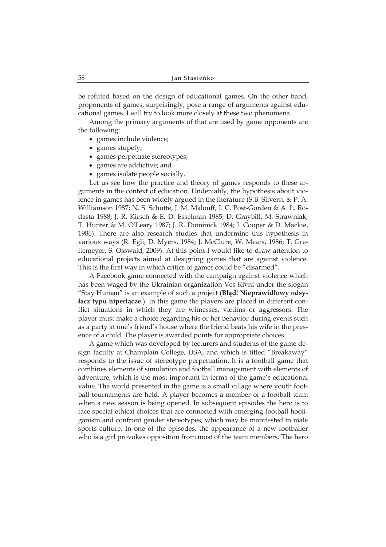be refuted based on the design of educational games. On the other hand, proponents of games, surprisingly, pose a range of arguments against educational games. I will try to look more closely at these two phenomena.

Among the primary arguments of that are used by game opponents are the following:

- games include violence;
- games stupefy;
- games perpetuate stereotypes;
- games are addictive; and
- games isolate people socially.

Let us see how the practice and theory of games responds to these arguments in the context of education. Undeniably, the hypothesis about violence in games has been widely argued in the literature (S.B. Silvern, & P. A. Williamson 1987; N. S. Schutte, J. M. Malouff, J. C. Post-Gorden & A. L. Rodasta 1988; J. R. Kirsch & E. D. Esselman 1985; D. Graybill, M. Strawniak, T. Hunter & M. O'Leary 1987; J. R. Dominick 1984; J. Cooper & D. Mackie, 1986). There are also research studies that undermine this hypothesis in various ways (R. Egli, D. Myers, 1984; J. McClure, W. Mears, 1986; T. Greitemeyer, S. Osswald, 2009). At this point I would like to draw attention to educational projects aimed at designing games that are against violence. This is the first way in which critics of games could be "disarmed".

A Facebook game connected with the campaign against violence which has been waged by the Ukrainian organization Ves Rivni under the slogan "Stay Human" is an example of such a project (**Błąd! Nieprawidłowy odsyłacz typu hiperłącze.).** In this game the players are placed in different conflict situations in which they are witnesses, victims or aggressors. The player must make a choice regarding his or her behavior during events such as a party at one's friend's house where the friend beats his wife in the presence of a child. The player is awarded points for appropriate choices.

A game which was developed by lecturers and students of the game design faculty at Champlain College, USA, and which is titled "Breakaway" responds to the issue of stereotype perpetuation. It is a football game that combines elements of simulation and football management with elements of adventure, which is the most important in terms of the game's educational value. The world presented in the game is a small village where youth football tournaments are held. A player becomes a member of a football team when a new season is being opened. In subsequent episodes the hero is to face special ethical choices that are connected with emerging football hooliganism and confront gender stereotypes, which may be manifested in male sports culture. In one of the episodes, the appearance of a new footballer who is a girl provokes opposition from most of the team members. The hero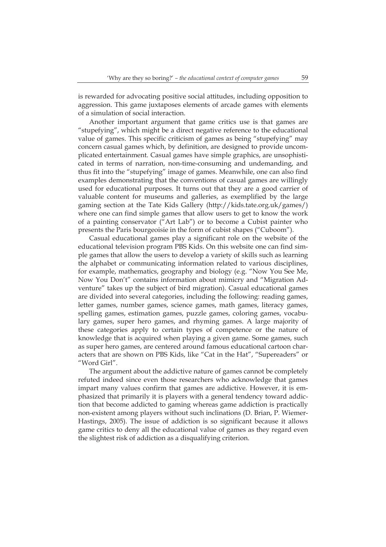is rewarded for advocating positive social attitudes, including opposition to aggression. This game juxtaposes elements of arcade games with elements of a simulation of social interaction.

Another important argument that game critics use is that games are "stupefying", which might be a direct negative reference to the educational value of games. This specific criticism of games as being "stupefying" may concern casual games which, by definition, are designed to provide uncomplicated entertainment. Casual games have simple graphics, are unsophisticated in terms of narration, non-time-consuming and undemanding, and thus fit into the "stupefying" image of games. Meanwhile, one can also find examples demonstrating that the conventions of casual games are willingly used for educational purposes. It turns out that they are a good carrier of valuable content for museums and galleries, as exemplified by the large gaming section at the Tate Kids Gallery (http://kids.tate.org.uk/games/) where one can find simple games that allow users to get to know the work of a painting conservator ("Art Lab") or to become a Cubist painter who presents the Paris bourgeoisie in the form of cubist shapes ("Cuboom").

Casual educational games play a significant role on the website of the educational television program PBS Kids. On this website one can find simple games that allow the users to develop a variety of skills such as learning the alphabet or communicating information related to various disciplines, for example, mathematics, geography and biology (e.g. "Now You See Me, Now You Don't" contains information about mimicry and "Migration Adventure" takes up the subject of bird migration). Casual educational games are divided into several categories, including the following: reading games, letter games, number games, science games, math games, literacy games, spelling games, estimation games, puzzle games, coloring games, vocabulary games, super hero games, and rhyming games. A large majority of these categories apply to certain types of competence or the nature of knowledge that is acquired when playing a given game. Some games, such as super hero games, are centered around famous educational cartoon characters that are shown on PBS Kids, like "Cat in the Hat", "Supereaders" or "Word Girl".

The argument about the addictive nature of games cannot be completely refuted indeed since even those researchers who acknowledge that games impart many values confirm that games are addictive. However, it is emphasized that primarily it is players with a general tendency toward addiction that become addicted to gaming whereas game addiction is practically non-existent among players without such inclinations (D. Brian, P. Wiemer-Hastings, 2005). The issue of addiction is so significant because it allows game critics to deny all the educational value of games as they regard even the slightest risk of addiction as a disqualifying criterion.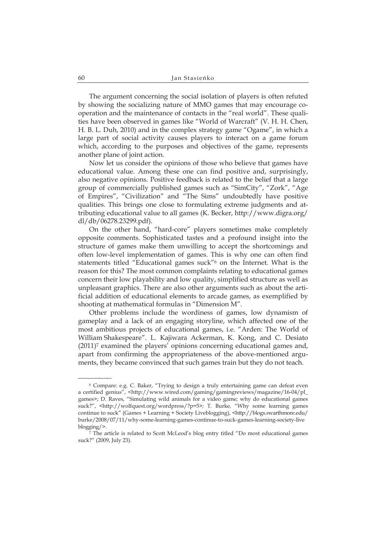The argument concerning the social isolation of players is often refuted by showing the socializing nature of MMO games that may encourage cooperation and the maintenance of contacts in the "real world". These qualities have been observed in games like "World of Warcraft" (V. H. H. Chen, H. B. L. Duh, 2010) and in the complex strategy game "Ogame", in which a large part of social activity causes players to interact on a game forum which, according to the purposes and objectives of the game, represents another plane of joint action.

Now let us consider the opinions of those who believe that games have educational value. Among these one can find positive and, surprisingly, also negative opinions. Positive feedback is related to the belief that a large group of commercially published games such as "SimCity", "Zork", "Age of Empires", "Civilization" and "The Sims" undoubtedly have positive qualities. This brings one close to formulating extreme judgments and attributing educational value to all games (K. Becker, http://www.digra.org/ dl/db/06278.23299.pdf).

On the other hand, "hard-core" players sometimes make completely opposite comments. Sophisticated tastes and a profound insight into the structure of games make them unwilling to accept the shortcomings and often low-level implementation of games. This is why one can often find statements titled "Educational games suck"<sup>6</sup> on the Internet. What is the reason for this? The most common complaints relating to educational games concern their low playability and low quality, simplified structure as well as unpleasant graphics. There are also other arguments such as about the artificial addition of educational elements to arcade games, as exemplified by shooting at mathematical formulas in "Dimension M".

Other problems include the wordiness of games, low dynamism of gameplay and a lack of an engaging storyline, which affected one of the most ambitious projects of educational games, i.e. "Arden: The World of William Shakespeare". L. Kajiwara Ackerman, K. Kong, and C. Desiato (2011)<sup>7</sup> examined the players' opinions concerning educational games and, apart from confirming the appropriateness of the above-mentioned arguments, they became convinced that such games train but they do not teach.

\_ \_ \_ \_ \_ \_ \_ \_ \_ \_ \_ \_ \_ \_ \_ \_

<sup>6</sup> Compare: e.g. C. Baker, "Trying to design a truly entertaining game can defeat even a certified genius", <http://www.wired.com/gaming/gamingreviews/magazine/16-04/pl\_ games>; D. Raves, "Simulating wild animals for a video game; why do educational games suck?", <http://wolfquest.org/wordpress/?p=5>*;* T. Burke*,* "Why some learning games continue to suck" (Games + Learning + Society Liveblogging), <http://blogs.swarthmore.edu/ burke/2008/07/11/why-some-learning-games-continue-to-suck-games-learning-society-live blogging/>.

<sup>7</sup> The article is related to Scott McLeod's blog entry titled "Do most educational games suck?" (2009, July 23).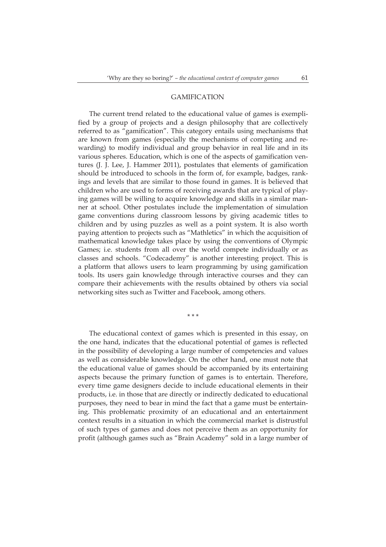# . GAMIFICATION

The current trend related to the educational value of games is exemplified by a group of projects and a design philosophy that are collectively referred to as "gamification". This category entails using mechanisms that are known from games (especially the mechanisms of competing and rewarding) to modify individual and group behavior in real life and in its various spheres. Education, which is one of the aspects of gamification ventures (J. J. Lee, J. Hammer 2011), postulates that elements of gamification should be introduced to schools in the form of, for example, badges, rankings and levels that are similar to those found in games. It is believed that children who are used to forms of receiving awards that are typical of playing games will be willing to acquire knowledge and skills in a similar manner at school. Other postulates include the implementation of simulation game conventions during classroom lessons by giving academic titles to children and by using puzzles as well as a point system. It is also worth paying attention to projects such as "Mathletics" in which the acquisition of mathematical knowledge takes place by using the conventions of Olympic Games; i.e. students from all over the world compete individually or as classes and schools. "Codecademy" is another interesting project. This is a platform that allows users to learn programming by using gamification tools. Its users gain knowledge through interactive courses and they can compare their achievements with the results obtained by others via social networking sites such as Twitter and Facebook, among others.

\* \* \*

The educational context of games which is presented in this essay, on the one hand, indicates that the educational potential of games is reflected in the possibility of developing a large number of competencies and values as well as considerable knowledge. On the other hand, one must note that the educational value of games should be accompanied by its entertaining aspects because the primary function of games is to entertain. Therefore, every time game designers decide to include educational elements in their products, i.e. in those that are directly or indirectly dedicated to educational purposes, they need to bear in mind the fact that a game must be entertaining. This problematic proximity of an educational and an entertainment context results in a situation in which the commercial market is distrustful of such types of games and does not perceive them as an opportunity for profit (although games such as "Brain Academy" sold in a large number of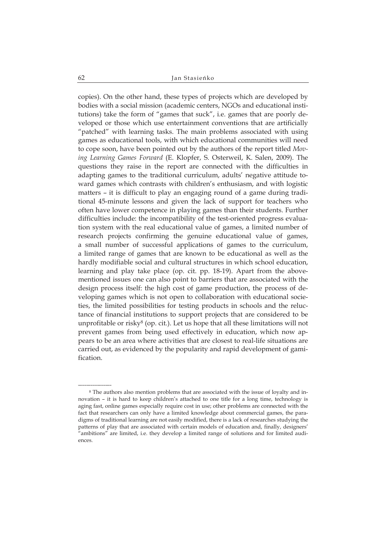copies). On the other hand, these types of projects which are developed by bodies with a social mission (academic centers, NGOs and educational institutions) take the form of "games that suck", i.e. games that are poorly developed or those which use entertainment conventions that are artificially "patched" with learning tasks. The main problems associated with using games as educational tools, with which educational communities will need to cope soon, have been pointed out by the authors of the report titled *Moving Learning Games Forward* (E. Klopfer, S. Osterweil, K. Salen, 2009). The questions they raise in the report are connected with the difficulties in adapting games to the traditional curriculum, adults' negative attitude toward games which contrasts with children's enthusiasm, and with logistic matters – it is difficult to play an engaging round of a game during traditional 45-minute lessons and given the lack of support for teachers who often have lower competence in playing games than their students. Further difficulties include: the incompatibility of the test-oriented progress evaluation system with the real educational value of games, a limited number of research projects confirming the genuine educational value of games, a small number of successful applications of games to the curriculum, a limited range of games that are known to be educational as well as the hardly modifiable social and cultural structures in which school education, learning and play take place (op. cit. pp. 18-19). Apart from the abovementioned issues one can also point to barriers that are associated with the design process itself: the high cost of game production, the process of developing games which is not open to collaboration with educational societies, the limited possibilities for testing products in schools and the reluctance of financial institutions to support projects that are considered to be unprofitable or risky<sup>8</sup> (op. cit.). Let us hope that all these limitations will not prevent games from being used effectively in education, which now appears to be an area where activities that are closest to real-life situations are carried out, as evidenced by the popularity and rapid development of gamification.

\_ \_ \_ \_ \_ \_ \_ \_ \_ \_ \_ \_ \_ \_ \_ \_

<sup>8</sup> The authors also mention problems that are associated with the issue of loyalty and innovation – it is hard to keep children's attached to one title for a long time, technology is aging fast, online games especially require cost in use; other problems are connected with the fact that researchers can only have a limited knowledge about commercial games, the paradigms of traditional learning are not easily modified, there is a lack of researches studying the patterns of play that are associated with certain models of education and, finally, designers' "ambitions" are limited, i.e. they develop a limited range of solutions and for limited audiences.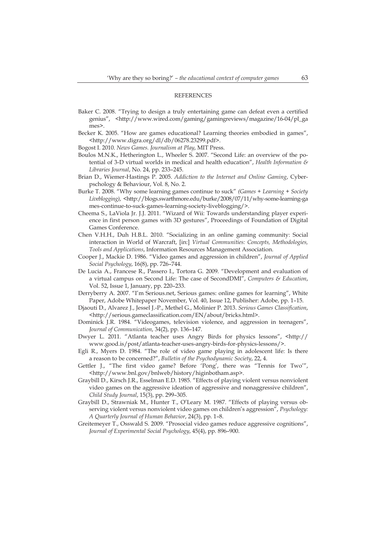#### **REFERENCES**

- Baker C. 2008. "Trying to design a truly entertaining game can defeat even a certified genius", <http://www.wired.com/gaming/gamingreviews/magazine/16-04/pl\_ga mes>.
- Becker K. 2005. "How are games educational? Learning theories embodied in games", <http://www.digra.org/dl/db/06278.23299.pdf>.
- Bogost I. 2010. *News Games. Journalism at Play*, MIT Press.
- Boulos M.N.K., Hetherington L., Wheeler S. 2007. "Second Life: an overview of the potential of 3-D virtual worlds in medical and health education", *Health Information & Libraries Journal*, No. 24, pp. 233–245.
- Brian D., Wiemer-Hastings P. 2005. *Addiction to the Internet and Online Gaming*, Cyberpschology & Behaviour, Vol. 8, No. 2.
- Burke T. 2008. "Why some learning games continue to suck" *(Games + Learning + Society*  Liveblogging), <http://blogs.swarthmore.edu/burke/2008/07/11/why-some-learning-ga mes-continue-to-suck-games-learning-society-liveblogging/>.
- Cheema S., LaViola Jr. J.J. 2011. "Wizard of Wii: Towards understanding player experience in first person games with 3D gestures", Proceedings of Foundation of Digital Games Conference.
- Chen V.H.H., Duh H.B.L. 2010. "Socializing in an online gaming community: Social interaction in World of Warcraft, [in:] *Virtual Communities: Concepts, Methodologies, Tools and Applications*, Information Resources Management Association.
- Cooper J., Mackie D. 1986. "Video games and aggression in children", *Journal of Applied Social Psychology*, 16(8), pp. 726–744.
- De Lucia A., Francese R., Passero I., Tortora G. 2009. "Development and evaluation of a virtual campus on Second Life: The case of SecondDMI", *Computers & Education*, Vol. 52, Issue 1, January, pp. 220–233.
- Derryberry A. 2007. "I'm Serious.net, Serious games: online games for learning", White Paper, Adobe Whitepaper November, Vol. 40, Issue 12, Publisher: Adobe, pp. 1–15.
- Djaouti D., Alvarez J., Jessel J.-P., Methel G., Molinier P. 2013. *Serious Games Classification*, <http://serious.gameclassification.com/EN/about/bricks.html>.
- Dominick J.R. 1984. "Videogames, television violence, and aggression in teenagers", *Journal of Communication*, 34(2), pp. 136–147.
- Dwyer L. 2011. "Atlanta teacher uses Angry Birds for physics lessons", <http:// www.good.is/post/atlanta-teacher-uses-angry-birds-for-physics-lessons/>.
- Egli R., Myers D. 1984. "The role of video game playing in adolescent life: Is there a reason to be concerned?", *Bulletin of the Psychodynamic Society*, 22, 4.
- Gettler J., "The first video game? Before 'Pong', there was "Tennis for Two'", <http://www.bnl.gov/bnlweb/history/higinbotham.asp>.
- Graybill D., Kirsch J.R., Esselman E.D. 1985. "Effects of playing violent versus nonviolent video games on the aggressive ideation of aggressive and nonaggressive children", *Child Study Journal*, 15(3), pp. 299–305.
- Graybill D., Strawniak M., Hunter T., O'Leary M. 1987. "Effects of playing versus observing violent versus nonviolent video games on children's aggression", *Psychology: A Quarterly Journal of Human Behavior*, 24(3), pp. 1–8.
- Greitemeyer T., Osswald S. 2009. "Prosocial video games reduce aggressive cognitions", *Journal of Experimental Social Psychology*, 45(4), pp. 896–900.